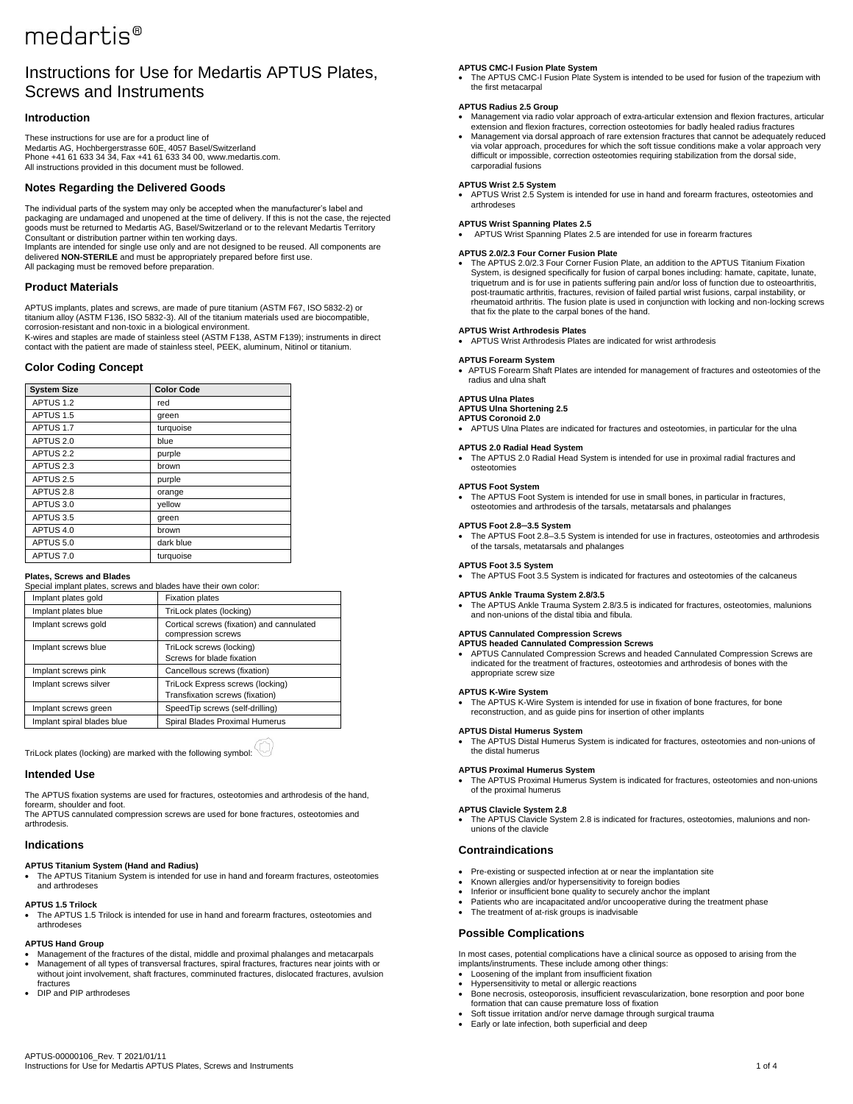# medartis<sup>®</sup>

# Instructions for Use for Medartis APTUS Plates, Screws and Instruments

# **Introduction**

These instructions for use are for a product line of Medartis AG, Hochbergerstrasse 60E, 4057 Basel/Switzerland Phone +41 61 633 34 34, Fax +41 61 633 34 00, www.medartis.com. All instructions provided in this document must be followed.

# **Notes Regarding the Delivered Goods**

The individual parts of the system may only be accepted when the manufacturer's label and packaging are undamaged and unopened at the time of delivery. If this is not the case, the rejected goods must be returned to Medartis AG, Basel/Switzerland or to the relevant Medartis Territory Consultant or distribution partner within ten working days.

Implants are intended for single use only and are not designed to be reused. All components are delivered **NON-STERILE** and must be appropriately prepared before first use. All packaging must be removed before preparation.

# **Product Materials**

APTUS implants, plates and screws, are made of pure titanium (ASTM F67, ISO 5832-2) or titanium alloy (ASTM F136, ISO 5832-3). All of the titanium materials used are biocompatible, corrosion-resistant and non-toxic in a biological environment.

K-wires and staples are made of stainless steel (ASTM F138, ASTM F139); instruments in direct contact with the patient are made of stainless steel, PEEK, aluminum, Nitinol or titanium.

# **Color Coding Concept**

| <b>System Size</b>   | <b>Color Code</b> |
|----------------------|-------------------|
|                      |                   |
| APTUS 1.2            | red               |
| APTUS 1.5            | green             |
| APTUS 1.7            | turquoise         |
| APTUS <sub>2.0</sub> | blue              |
| APTUS <sub>2.2</sub> | purple            |
| APTUS <sub>2.3</sub> | brown             |
| APTUS <sub>2.5</sub> | purple            |
| APTUS <sub>2.8</sub> | orange            |
| APTUS 3.0            | yellow            |
| APTUS 3.5            | green             |
| APTUS 4.0            | brown             |
| APTUS 5.0            | dark blue         |
| APTUS 7.0            | turquoise         |

### **Plates, Screws and Blades**

| Special implant plates, screws and blades have their own color: |                                                                     |  |  |
|-----------------------------------------------------------------|---------------------------------------------------------------------|--|--|
| Implant plates gold                                             | <b>Fixation plates</b>                                              |  |  |
| Implant plates blue                                             | TriLock plates (locking)                                            |  |  |
| Implant screws gold                                             | Cortical screws (fixation) and cannulated<br>compression screws     |  |  |
| Implant screws blue                                             | TriLock screws (locking)<br>Screws for blade fixation               |  |  |
| Implant screws pink                                             | Cancellous screws (fixation)                                        |  |  |
| Implant screws silver                                           | TriLock Express screws (locking)<br>Transfixation screws (fixation) |  |  |
| Implant screws green                                            | SpeedTip screws (self-drilling)                                     |  |  |
| Implant spiral blades blue                                      | Spiral Blades Proximal Humerus                                      |  |  |

TriLock plates (locking) are marked with the following symbol:

# **Intended Use**

The APTUS fixation systems are used for fractures, osteotomies and arthrodesis of the hand, forearm, shoulder and foot.

The APTUS cannulated compression screws are used for bone fractures, osteotomies and arthrodesis.

### **Indications**

### **APTUS Titanium System (Hand and Radius)**

• The APTUS Titanium System is intended for use in hand and forearm fractures, osteotomies and arthrodeses

# **APTUS 1.5 Trilock**

• The APTUS 1.5 Trilock is intended for use in hand and forearm fractures, osteotomies and arthrodeses

### **APTUS Hand Group**

- Management of the fractures of the distal, middle and proximal phalanges and metacarpals • Management of all types of transversal fractures, spiral fractures, fractures near joints with or without joint involvement, shaft fractures, comminuted fractures, dislocated fractures, avulsion fractures
- DIP and PIP arthrodeses

# **APTUS CMC-l Fusion Plate System**

• The APTUS CMC-l Fusion Plate System is intended to be used for fusion of the trapezium with the first metacarpal

#### **APTUS Radius 2.5 Group**

- Management via radio volar approach of extra-articular extension and flexion fractures, articular extension and flexion fractures, correction osteotomies for badly healed radius fractures
- Management via dorsal approach of rare extension fractures that cannot be adequately reduced via volar approach, procedures for which the soft tissue conditions make a volar approach very difficult or impossible, correction osteotomies requiring stabilization from the dorsal side, carporadial fusions

#### **APTUS Wrist 2.5 System**

• APTUS Wrist 2.5 System is intended for use in hand and forearm fractures, osteotomies and arthrodeses

#### **APTUS Wrist Spanning Plates 2.5**

• APTUS Wrist Spanning Plates 2.5 are intended for use in forearm fractures

#### **APTUS 2.0/2.3 Four Corner Fusion Plate**

• The APTUS 2.0/2.3 Four Corner Fusion Plate, an addition to the APTUS Titanium Fixation System, is designed specifically for fusion of carpal bones including: hamate, capitate, lunate, triquetrum and is for use in patients suffering pain and/or loss of function due to osteoarthritis, post-traumatic arthritis, fractures, revision of failed partial wrist fusions, carpal instability, or rheumatoid arthritis. The fusion plate is used in conjunction with locking and non-locking screws that fix the plate to the carpal bones of the hand.

# **APTUS Wrist Arthrodesis Plates**

• APTUS Wrist Arthrodesis Plates are indicated for wrist arthrodesis

**APTUS Forearm System** • APTUS Forearm Shaft Plates are intended for management of fractures and osteotomies of the radius and ulna shaft

### **APTUS Ulna Plates**

#### **APTUS Ulna Shortening 2.5 APTUS Coronoid 2.0**

• APTUS Ulna Plates are indicated for fractures and osteotomies, in particular for the ulna

#### **APTUS 2.0 Radial Head System**

• The APTUS 2.0 Radial Head System is intended for use in proximal radial fractures and osteotomies

#### **APTUS Foot System**

The APTUS Foot System is intended for use in small bones, in particular in fractures, osteotomies and arthrodesis of the tarsals, metatarsals and phalanges

#### **APTUS Foot 2.8─3.5 System**

• The APTUS Foot 2.8-3.5 System is intended for use in fractures, osteotomies and arthrodesis of the tarsals, metatarsals and phalanges

# **APTUS Foot 3.5 System**

- The APTUS Foot 3.5 System is indicated for fractures and osteotomies of the calcaneus
- **APTUS Ankle Trauma System 2.8/3.5**
- The APTUS Ankle Trauma System 2.8/3.5 is indicated for fractures, osteotomies, malunions and non-unions of the distal tibia and fibula.

#### **APTUS Cannulated Compression Screws**

**APTUS headed Cannulated Compression Screws** • APTUS Cannulated Compression Screws and headed Cannulated Compression Screws are indicated for the treatment of fractures, osteotomies and arthrodesis of bones with the appropriate screw size

### **APTUS K-Wire System**

- The APTUS K-Wire System is intended for use in fixation of bone fractures, for bone reconstruction, and as guide pins for insertion of other implants
- **APTUS Distal Humerus System**
- The APTUS Distal Humerus System is indicated for fractures, osteotomies and non-unions of the distal humerus

#### **APTUS Proximal Humerus System**

• The APTUS Proximal Humerus System is indicated for fractures, osteotomies and non-unions of the proximal humerus

#### **APTUS Clavicle System 2.8**

• The APTUS Clavicle System 2.8 is indicated for fractures, osteotomies, malunions and nonunions of the clavicle

# **Contraindications**

- Pre-existing or suspected infection at or near the implantation site
- Known allergies and/or hypersensitivity to foreign bodies
- Inferior or insufficient bone quality to securely anchor the implant Fatients who are incapacitated and/or uncooperative during the treatment phase
- The treatment of at-risk groups is inadvisable
- 

# **Possible Complications**

In most cases, potential complications have a clinical source as opposed to arising from the implants/instruments. These include among other things:

- Loosening of the implant from insufficient fixation
- Hypersensitivity to metal or allergic reactions
- Bone necrosis, osteoporosis, insufficient revascularization, bone resorption and poor bone formation that can cause premature loss of fixation
- Soft tissue irritation and/or nerve damage through surgical trauma Early or late infection, both superficial and deep
-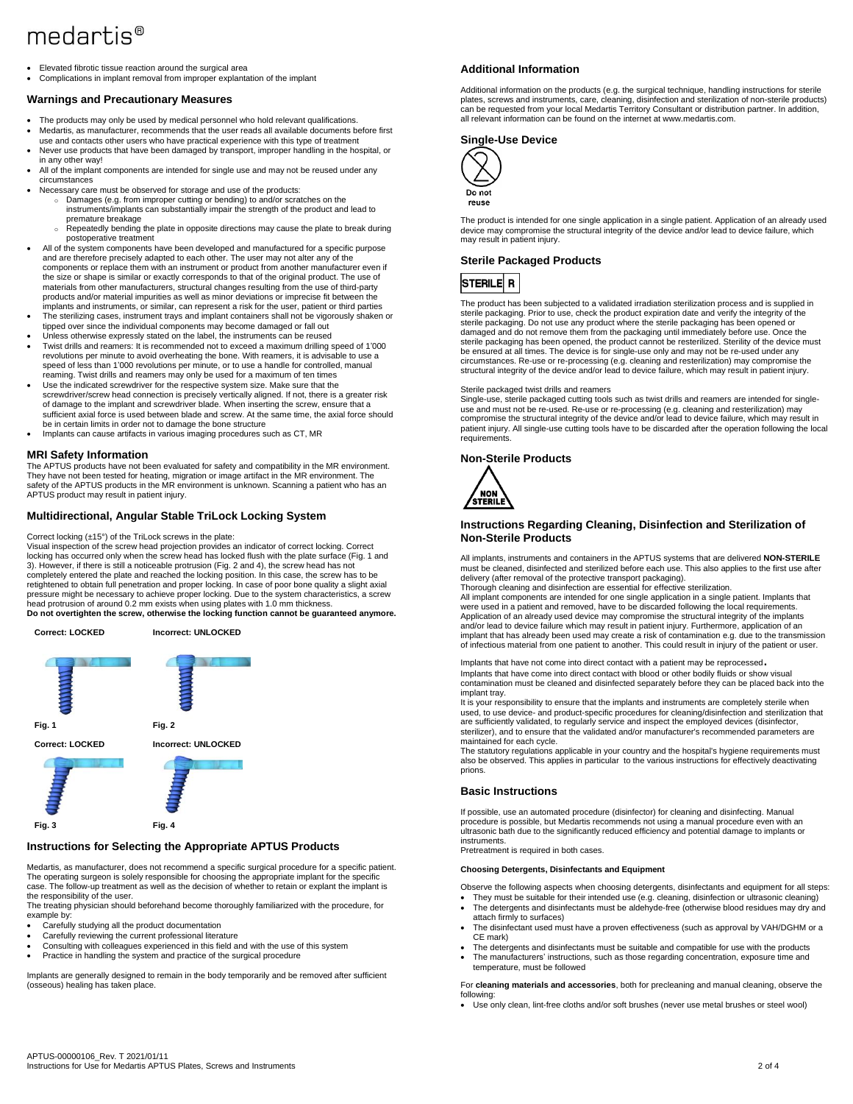# medartis<sup>®</sup>

• Elevated fibrotic tissue reaction around the surgical area • Complications in implant removal from improper explantation of the implant

### **Warnings and Precautionary Measures**

- The products may only be used by medical personnel who hold relevant qualifications.
- Medartis, as manufacturer, recommends that the user reads all available documents before first use and contacts other users who have practical experience with this type of treatment
- Never use products that have been damaged by transport, improper handling in the hospital, or in any other way!
- All of the implant components are intended for single use and may not be reused under any circumstances
- Necessary care must be observed for storage and use of the products: Damages (e.g. from improper cutting or bending) to and/or scratches on the
	- instruments/implants can substantially impair the strength of the product and lead to premature breakage
	- Repeatedly bending the plate in opposite directions may cause the plate to break during postoperative treatment
- All of the system components have been developed and manufactured for a specific purpose and are therefore precisely adapted to each other. The user may not alter any of the components or replace them with an instrument or product from another manufacturer even if the size or shape is similar or exactly corresponds to that of the original product. The use of materials from other manufacturers, structural changes resulting from the use of third-party products and/or material impurities as well as minor deviations or imprecise fit between the implants and instruments, or similar, can represent a risk for the user, patient or third parties
- The sterilizing cases, instrument trays and implant containers shall not be vigorously shaken or tipped over since the individual components may become damaged or fall out
- Unless otherwise expressly stated on the label, the instruments can be reused • Twist drills and reamers: It is recommended not to exceed a maximum drilling speed of 1'000 revolutions per minute to avoid overheating the bone. With reamers, it is advisable to use a speed of less than 1'000 revolutions per minute, or to use a handle for controlled, manual reaming. Twist drills and reamers may only be used for a maximum of ten times
- Use the indicated screwdriver for the respective system size. Make sure that the screwdriver/screw head connection is precisely vertically aligned. If not, there is a greater risk of damage to the implant and screwdriver blade. When inserting the screw, ensure that a sufficient axial force is used between blade and screw. At the same time, the axial force should be in certain limits in order not to damage the bone structure
- Implants can cause artifacts in various imaging procedures such as CT, MR

# **MRI Safety Information**

The APTUS products have not been evaluated for safety and compatibility in the MR environment. They have not been tested for heating, migration or image artifact in the MR environment. The safety of the APTUS products in the MR environment is unknown. Scanning a patient who has an APTUS product may result in patient injury.

# **Multidirectional, Angular Stable TriLock Locking System**

Correct locking (±15°) of the TriLock screws in the plate:

Visual inspection of the screw head projection provides an indicator of correct locking. Correct locking has occurred only when the screw head has locked flush with the plate surface (Fig. 1 and 3). However, if there is still a noticeable protrusion (Fig. 2 and 4), the screw head has not completely entered the plate and reached the locking position. In this case, the screw has to be retightened to obtain full penetration and proper locking. In case of poor bone quality a slight axial pressure might be necessary to achieve proper locking. Due to the system characteristics, a screw head protrusion of around 0.2 mm exists when using plates with 1.0 mm thickness. **Do not overtighten the screw, otherwise the locking function cannot be guaranteed anymore.**



# **Instructions for Selecting the Appropriate APTUS Products**

Medartis, as manufacturer, does not recommend a specific surgical procedure for a specific patient. The operating surgeon is solely responsible for choosing the appropriate implant for the specific case. The follow-up treatment as well as the decision of whether to retain or explant the implant is the responsibility of the user.

The treating physician should beforehand become thoroughly familiarized with the procedure, for example by:

- Carefully studying all the product documentation
- Carefully reviewing the current professional literature Consulting with colleagues experienced in this field and with the use of this system
- Practice in handling the system and practice of the surgical procedure

Implants are generally designed to remain in the body temporarily and be removed after sufficient (osseous) healing has taken place.

#### **Additional Information**

Additional information on the products (e.g. the surgical technique, handling instructions for sterile plates, screws and instruments, care, cleaning, disinfection and sterilization of non-sterile products) can be requested from your local Medartis Territory Consultant or distribution partner. In addition, all relevant information can be found on the internet a[t www.medartis.com.](http://www.medartis.com/)

# **Single-Use Device**



The product is intended for one single application in a single patient. Application of an already used device may compromise the structural integrity of the device and/or lead to device failure, which may result in patient injury.

### **Sterile Packaged Products**



The product has been subjected to a validated irradiation sterilization process and is supplied in sterile packaging. Prior to use, check the product expiration date and verify the integrity of the sterile packaging. Do not use any product where the sterile packaging has been opened or damaged and do not remove them from the packaging until immediately before use. Once the sterile packaging has been opened, the product cannot be resterilized. Sterility of the device must be ensured at all times. The device is for single-use only and may not be re-used under any circumstances. Re-use or re-processing (e.g. cleaning and resterilization) may compromise the structural integrity of the device and/or lead to device failure, which may result in patient injury.

#### Sterile packaged twist drills and reamers

Single-use, sterile packaged cutting tools such as twist drills and reamers are intended for singleuse and must not be re-used. Re-use or re-processing (e.g. cleaning and resterilization) may compromise the structural integrity of the device and/or lead to device failure, which may result in patient injury. All single-use cutting tools have to be discarded after the operation following the local requirements.

#### **Non-Sterile Products**



#### **Instructions Regarding Cleaning, Disinfection and Sterilization of Non-Sterile Products**

All implants, instruments and containers in the APTUS systems that are delivered **NON-STERILE** must be cleaned, disinfected and sterilized before each use. This also applies to the first use after delivery (after removal of the protective transport packaging).

Thorough cleaning and disinfection are essential for effective sterilization.

All implant components are intended for one single application in a single patient. Implants that were used in a patient and removed, have to be discarded following the local requirements. Application of an already used device may compromise the structural integrity of the implants and/or lead to device failure which may result in patient injury. Furthermore, application of an implant that has already been used may create a risk of contamination e.g. due to the transmission of infectious material from one patient to another. This could result in injury of the patient or user.

Implants that have not come into direct contact with a patient may be reprocessed. Implants that have come into direct contact with blood or other bodily fluids or show visual contamination must be cleaned and disinfected separately before they can be placed back into the implant tray.

It is your responsibility to ensure that the implants and instruments are completely sterile when used, to use device- and product-specific procedures for cleaning/disinfection and sterilization that are sufficiently validated, to regularly service and inspect the employed devices (disinfector, sterilizer), and to ensure that the validated and/or manufacturer's recommended parameters are maintained for each cycle.

The statutory regulations applicable in your country and the hospital's hygiene requirements must also be observed. This applies in particular to the various instructions for effectively deactivating prions.

### **Basic Instructions**

If possible, use an automated procedure (disinfector) for cleaning and disinfecting. Manual procedure is possible, but Medartis recommends not using a manual procedure even with an ultrasonic bath due to the significantly reduced efficiency and potential damage to implants or instruments.

Pretreatment is required in both cases.

#### **Choosing Detergents, Disinfectants and Equipment**

Observe the following aspects when choosing detergents, disinfectants and equipment for all steps:

- They must be suitable for their intended use (e.g. cleaning, disinfection or ultrasonic cleaning) • The detergents and disinfectants must be aldehyde-free (otherwise blood residues may dry and attach firmly to surfaces)
- The disinfectant used must have a proven effectiveness (such as approval by VAH/DGHM or a CE mark)
- The detergents and disinfectants must be suitable and compatible for use with the products • The manufacturers' instructions, such as those regarding concentration, exposure time and
- temperature, must be followed

For **cleaning materials and accessories**, both for precleaning and manual cleaning, observe the following:

• Use only clean, lint-free cloths and/or soft brushes (never use metal brushes or steel wool)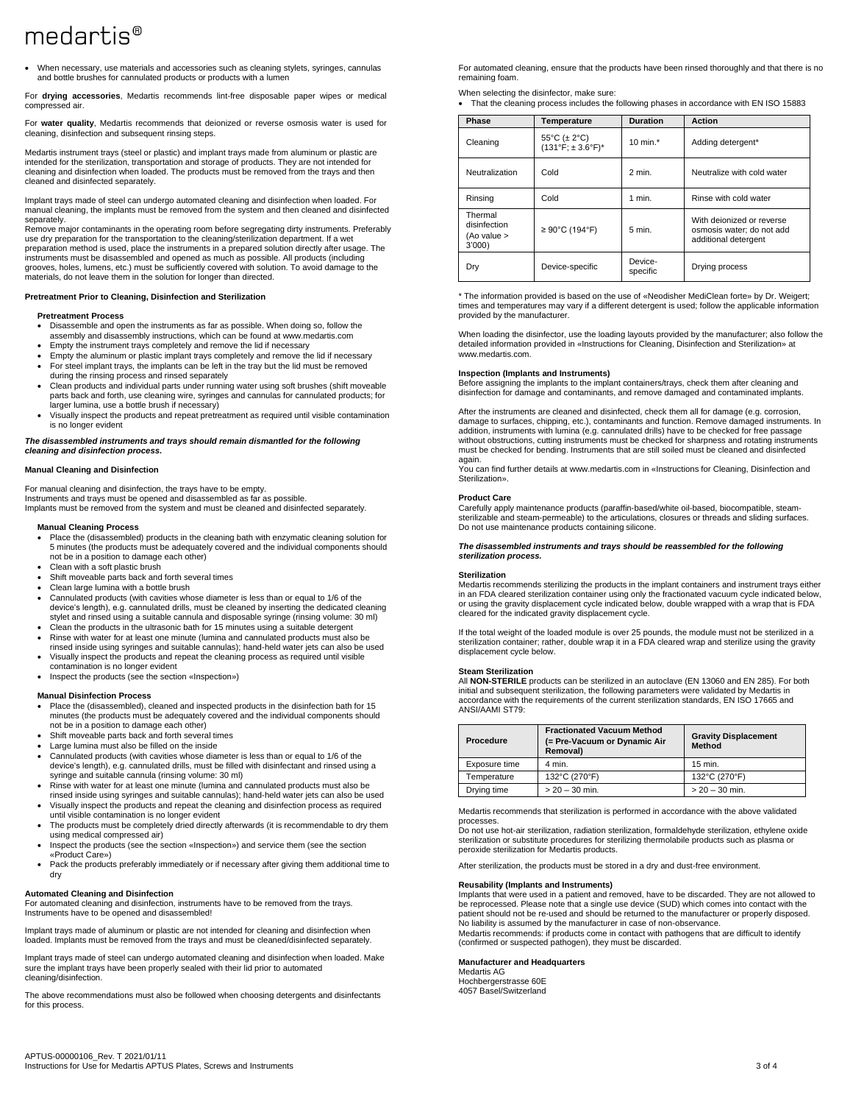# $mediartis<sup>®</sup>$

• When necessary, use materials and accessories such as cleaning stylets, syringes, cannulas and bottle brushes for cannulated products or products with a lumen

For **drying accessories**, Medartis recommends lint-free disposable paper wipes or medical compressed air.

For **water quality**, Medartis recommends that deionized or reverse osmosis water is used for cleaning, disinfection and subsequent rinsing steps.

Medartis instrument trays (steel or plastic) and implant trays made from aluminum or plastic are intended for the sterilization, transportation and storage of products. They are not intended for cleaning and disinfection when loaded. The products must be removed from the trays and then cleaned and disinfected separately.

Implant trays made of steel can undergo automated cleaning and disinfection when loaded. For manual cleaning, the implants must be removed from the system and then cleaned and disinfected separately.

Remove major contaminants in the operating room before segregating dirty instruments. Preferably use dry preparation for the transportation to the cleaning/sterilization department. If a wet preparation method is used, place the instruments in a prepared solution directly after usage. The instruments must be disassembled and opened as much as possible. All products (including grooves, holes, lumens, etc.) must be sufficiently covered with solution. To avoid damage to the materials, do not leave them in the solution for longer than directed.

#### **Pretreatment Prior to Cleaning, Disinfection and Sterilization**

# **Pretreatment Process**

- Disassemble and open the instruments as far as possible. When doing so, follow the assembly and disassembly instructions, which can be found at www.medartis.com
- Empty the instrument trays completely and remove the lid if necessary
- Empty the aluminum or plastic implant trays completely and remove the lid if necessary • For steel implant trays, the implants can be left in the tray but the lid must be removed
- during the rinsing process and rinsed separately • Clean products and individual parts under running water using soft brushes (shift moveable
- parts back and forth, use cleaning wire, syringes and cannulas for cannulated products; for larger lumina, use a bottle brush if necessary)
- Visually inspect the products and repeat pretreatment as required until visible contamination is no longer evident

*The disassembled instruments and trays should remain dismantled for the following cleaning and disinfection process.*

#### **Manual Cleaning and Disinfection**

For manual cleaning and disinfection, the trays have to be empty. Instruments and trays must be opened and disassembled as far as possible. Implants must be removed from the system and must be cleaned and disinfected separately.

# **Manual Cleaning Process**

- Place the (disassembled) products in the cleaning bath with enzymatic cleaning solution for 5 minutes (the products must be adequately covered and the individual components should not be in a position to damage each other)
- Clean with a soft plastic brush
- Shift moveable parts back and forth several times
- Clean large lumina with a bottle brush
- Cannulated products (with cavities whose diameter is less than or equal to 1/6 of the device's length), e.g. cannulated drills, must be cleaned by inserting the dedicated cleaning stylet and rinsed using a suitable cannula and disposable syringe (rinsing volume: 30 ml) • Clean the products in the ultrasonic bath for 15 minutes using a suitable detergent
- Rinse with water for at least one minute (lumina and cannulated products must also be
- rinsed inside using syringes and suitable cannulas); hand-held water jets can also be used
- Visually inspect the products and repeat the cleaning process as required until visible contamination is no longer evident
- Inspect the products (see the section «Inspection»)

#### **Manual Disinfection Process**

- Place the (disassembled), cleaned and inspected products in the disinfection bath for 15 minutes (the products must be adequately covered and the individual components should not be in a position to damage each other)
- Shift moveable parts back and forth several times
- Large lumina must also be filled on the inside
- Cannulated products (with cavities whose diameter is less than or equal to 1/6 of the device's length), e.g. cannulated drills, must be filled with disinfectant and rinsed using a syringe and suitable cannula (rinsing volume: 30 ml)
- Rinse with water for at least one minute (lumina and cannulated products must also be rinsed inside using syringes and suitable cannulas); hand-held water jets can also be used
- Visually inspect the products and repeat the cleaning and disinfection process as required until visible contamination is no longer evident
- The products must be completely dried directly afterwards (it is recommendable to dry them using medical compressed air)
- Inspect the products (see the section «Inspection») and service them (see the section «Product Care»)
- Pack the products preferably immediately or if necessary after giving them additional time to dry

#### **Automated Cleaning and Disinfection**

For automated cleaning and disinfection, instruments have to be removed from the trays. Instruments have to be opened and disassembled!

Implant trays made of aluminum or plastic are not intended for cleaning and disinfection when loaded. Implants must be removed from the trays and must be cleaned/disinfected separately.

Implant trays made of steel can undergo automated cleaning and disinfection when loaded. Make sure the implant trays have been properly sealed with their lid prior to automated cleaning/disinfection.

The above recommendations must also be followed when choosing detergents and disinfectants for this process.

For automated cleaning, ensure that the products have been rinsed thoroughly and that there is no remaining foam.

When selecting the disinfector, make sure:

• That the cleaning process includes the following phases in accordance with EN ISO 15883

| Phase                                           | Temperature                              | <b>Duration</b>     | <b>Action</b>                                                                  |
|-------------------------------------------------|------------------------------------------|---------------------|--------------------------------------------------------------------------------|
| Cleaning                                        | 55°C ( $\pm$ 2°C)<br>$(131°F; ± 3.6°F)*$ | 10 min. $*$         | Adding detergent*                                                              |
| Neutralization                                  | Cold                                     | $2$ min.            | Neutralize with cold water                                                     |
| Rinsing                                         | Cold                                     | $1$ min.            | Rinse with cold water                                                          |
| Thermal<br>disinfection<br>(Ao value ><br>3'000 | $\geq 90^{\circ}$ C (194°F)              | $5$ min.            | With dejonized or reverse<br>osmosis water; do not add<br>additional detergent |
| Dry                                             | Device-specific                          | Device-<br>specific | Drying process                                                                 |

\* The information provided is based on the use of «Neodisher MediClean forte» by Dr. Weigert; times and temperatures may vary if a different detergent is used; follow the applicable information provided by the manufacturer.

When loading the disinfector, use the loading layouts provided by the manufacturer; also follow the detailed information provided in «Instructions for Cleaning, Disinfection and Sterilization» at www.medartis.com.

#### **Inspection (Implants and Instruments)**

Before assigning the implants to the implant containers/trays, check them after cleaning and disinfection for damage and contaminants, and remove damaged and contaminated implants.

After the instruments are cleaned and disinfected, check them all for damage (e.g. corrosion, damage to surfaces, chipping, etc.), contaminants and function. Remove damaged instruments. In addition, instruments with lumina (e.g. cannulated drills) have to be checked for free passage without obstructions, cutting instruments must be checked for sharpness and rotating instruments must be checked for bending. Instruments that are still soiled must be cleaned and disinfected again.

You can find further details at www.medartis.com in «Instructions for Cleaning, Disinfection and Sterilization».

#### **Product Care**

Carefully apply maintenance products (paraffin-based/white oil-based, biocompatible, steamsterilizable and steam-permeable) to the articulations, closures or threads and sliding surfaces. Do not use maintenance products containing silicone.

*The disassembled instruments and trays should be reassembled for the following sterilization process.*

#### **Sterilization**

Medartis recommends sterilizing the products in the implant containers and instrument trays either in an FDA cleared sterilization container using only the fractionated vacuum cycle indicated below, or using the gravity displacement cycle indicated below, double wrapped with a wrap that is FDA cleared for the indicated gravity displacement cycle.

If the total weight of the loaded module is over 25 pounds, the module must not be sterilized in a sterilization container; rather, double wrap it in a FDA cleared wrap and sterilize using the gravity displacement cycle below.

#### **Steam Sterilization**

All **NON-STERILE** products can be sterilized in an autoclave (EN 13060 and EN 285). For both initial and subsequent sterilization, the following parameters were validated by Medartis in accordance with the requirements of the current sterilization standards, EN ISO 17665 and ANSI/AAMI ST79:

| Procedure     | <b>Fractionated Vacuum Method</b><br>(= Pre-Vacuum or Dynamic Air<br>Removal) | <b>Gravity Displacement</b><br>Method |
|---------------|-------------------------------------------------------------------------------|---------------------------------------|
| Exposure time | 4 min.                                                                        | $15$ min.                             |
| Temperature   | 132°C (270°F)                                                                 | 132°C (270°F)                         |
| Drying time   | $> 20 - 30$ min.                                                              | $> 20 - 30$ min.                      |

Medartis recommends that sterilization is performed in accordance with the above validated processes.

Do not use hot-air sterilization, radiation sterilization, formaldehyde sterilization, ethylene oxide sterilization or substitute procedures for sterilizing thermolabile products such as plasma or peroxide sterilization for Medartis products.

After sterilization, the products must be stored in a dry and dust-free environment.

#### **Reusability (Implants and Instruments)**

Implants that were used in a patient and removed, have to be discarded. They are not allowed to be reprocessed. Please note that a single use device (SUD) which comes into contact with the patient should not be re-used and should be returned to the manufacturer or properly disposed. No liability is assumed by the manufacturer in case of non-observance. Medartis recommends: if products come in contact with pathogens that are difficult to identify (confirmed or suspected pathogen), they must be discarded.

#### **Manufacturer and Headquarters**

Medartis AG Hochbergerstrasse 60E 4057 Basel/Switzerland